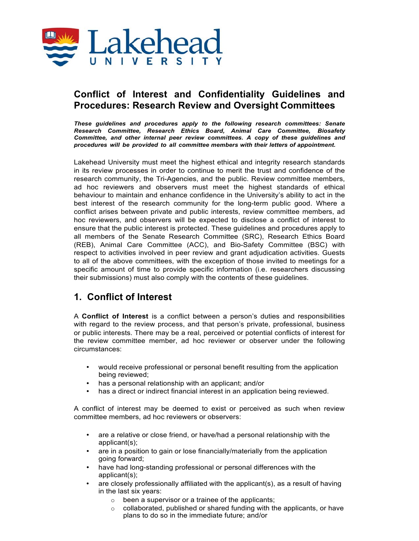

## **Conflict of Interest and Confidentiality Guidelines and Procedures: Research Review and Oversight Committees**

*These guidelines and procedures apply to the following research committees: Senate Research Committee, Research Ethics Board, Animal Care Committee, Biosafety Committee, and other internal peer review committees. A copy of these guidelines and procedures will be provided to all committee members with their letters of appointment.*

Lakehead University must meet the highest ethical and integrity research standards in its review processes in order to continue to merit the trust and confidence of the research community, the Tri-Agencies, and the public. Review committee members, ad hoc reviewers and observers must meet the highest standards of ethical behaviour to maintain and enhance confidence in the University's ability to act in the best interest of the research community for the long-term public good. Where a conflict arises between private and public interests, review committee members, ad hoc reviewers, and observers will be expected to disclose a conflict of interest to ensure that the public interest is protected. These guidelines and procedures apply to all members of the Senate Research Committee (SRC), Research Ethics Board (REB), Animal Care Committee (ACC), and Bio-Safety Committee (BSC) with respect to activities involved in peer review and grant adjudication activities. Guests to all of the above committees, with the exception of those invited to meetings for a specific amount of time to provide specific information (i.e. researchers discussing their submissions) must also comply with the contents of these guidelines.

### **1. Conflict of Interest**

A **Conflict of Interest** is a conflict between a person's duties and responsibilities with regard to the review process, and that person's private, professional, business or public interests. There may be a real, perceived or potential conflicts of interest for the review committee member, ad hoc reviewer or observer under the following circumstances:

- would receive professional or personal benefit resulting from the application being reviewed;
- has a personal relationship with an applicant; and/or
- has a direct or indirect financial interest in an application being reviewed.

A conflict of interest may be deemed to exist or perceived as such when review committee members, ad hoc reviewers or observers:

- are a relative or close friend, or have/had a personal relationship with the applicant(s);
- are in a position to gain or lose financially/materially from the application going forward;
- have had long-standing professional or personal differences with the applicant(s);
- are closely professionally affiliated with the applicant(s), as a result of having in the last six years:
	- o been a supervisor or a trainee of the applicants;
	- o collaborated, published or shared funding with the applicants, or have plans to do so in the immediate future; and/or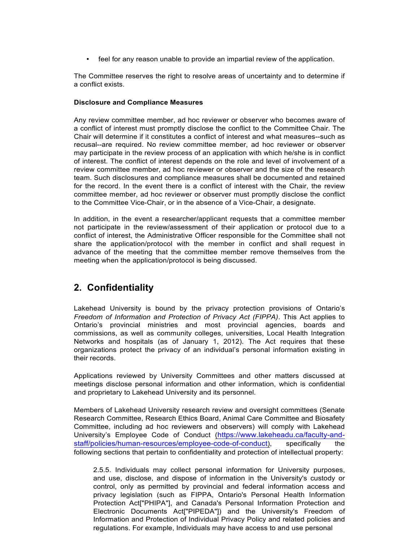• feel for any reason unable to provide an impartial review of the application.

The Committee reserves the right to resolve areas of uncertainty and to determine if a conflict exists.

#### **Disclosure and Compliance Measures**

Any review committee member, ad hoc reviewer or observer who becomes aware of a conflict of interest must promptly disclose the conflict to the Committee Chair. The Chair will determine if it constitutes a conflict of interest and what measures--such as recusal--are required. No review committee member, ad hoc reviewer or observer may participate in the review process of an application with which he/she is in conflict of interest. The conflict of interest depends on the role and level of involvement of a review committee member, ad hoc reviewer or observer and the size of the research team. Such disclosures and compliance measures shall be documented and retained for the record. In the event there is a conflict of interest with the Chair, the review committee member, ad hoc reviewer or observer must promptly disclose the conflict to the Committee Vice-Chair, or in the absence of a Vice-Chair, a designate.

In addition, in the event a researcher/applicant requests that a committee member not participate in the review/assessment of their application or protocol due to a conflict of interest, the Administrative Officer responsible for the Committee shall not share the application/protocol with the member in conflict and shall request in advance of the meeting that the committee member remove themselves from the meeting when the application/protocol is being discussed.

# **2. Confidentiality**

Lakehead University is bound by the privacy protection provisions of Ontario's *Freedom of Information and Protection of Privacy Act (FIPPA)*. This Act applies to Ontario's provincial ministries and most provincial agencies, boards and commissions, as well as community colleges, universities, Local Health Integration Networks and hospitals (as of January 1, 2012). The Act requires that these organizations protect the privacy of an individual's personal information existing in their records.

Applications reviewed by University Committees and other matters discussed at meetings disclose personal information and other information, which is confidential and proprietary to Lakehead University and its personnel.

Members of Lakehead University research review and oversight committees (Senate Research Committee, Research Ethics Board, Animal Care Committee and Biosafety Committee, including ad hoc reviewers and observers) will comply with Lakehead University's Employee Code of Conduct (https://www.lakeheadu.ca/faculty-andstaff/policies/human-resources/employee-code-of-conduct), specifically the following sections that pertain to confidentiality and protection of intellectual property:

2.5.5. Individuals may collect personal information for University purposes, and use, disclose, and dispose of information in the University's custody or control, only as permitted by provincial and federal information access and privacy legislation (such as FIPPA, Ontario's Personal Health Information Protection Act["PHIPA"], and Canada's Personal Information Protection and Electronic Documents Act["PIPEDA"]) and the University's Freedom of Information and Protection of Individual Privacy Policy and related policies and regulations. For example, Individuals may have access to and use personal